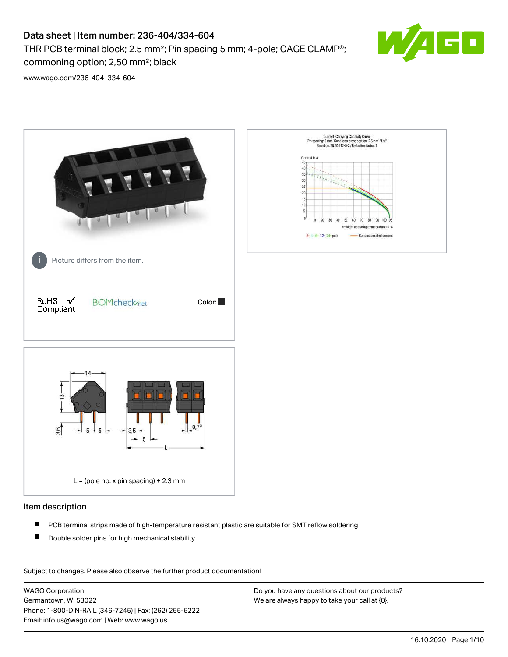THR PCB terminal block; 2.5 mm²; Pin spacing 5 mm; 4-pole; CAGE CLAMP®; commoning option; 2,50 mm²; black



[www.wago.com/236-404\\_334-604](http://www.wago.com/236-404_334-604)



### Item description

- $\blacksquare$ PCB terminal strips made of high-temperature resistant plastic are suitable for SMT reflow soldering
- $\blacksquare$ Double solder pins for high mechanical stability

Subject to changes. Please also observe the further product documentation! Data

WAGO Corporation Germantown, WI 53022 Phone: 1-800-DIN-RAIL (346-7245) | Fax: (262) 255-6222 Email: info.us@wago.com | Web: www.wago.us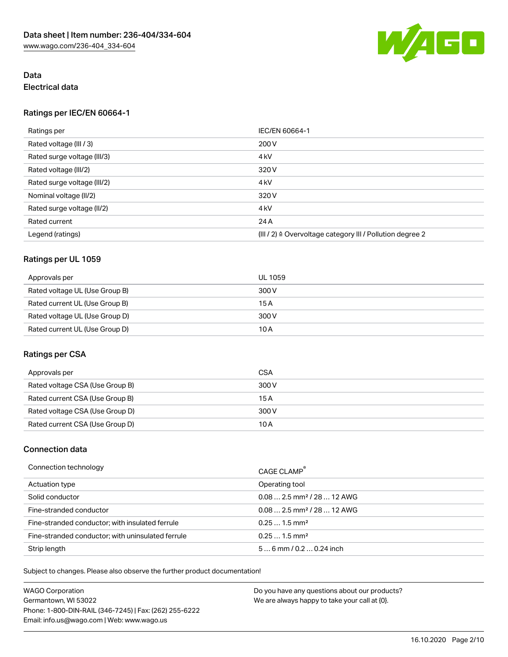

# Data Electrical data

### Ratings per IEC/EN 60664-1

| Ratings per                 | IEC/EN 60664-1                                                        |  |
|-----------------------------|-----------------------------------------------------------------------|--|
| Rated voltage (III / 3)     | 200 V                                                                 |  |
| Rated surge voltage (III/3) | 4 <sub>kV</sub>                                                       |  |
| Rated voltage (III/2)       | 320 V                                                                 |  |
| Rated surge voltage (III/2) | 4 <sub>kV</sub>                                                       |  |
| Nominal voltage (II/2)      | 320 V                                                                 |  |
| Rated surge voltage (II/2)  | 4 <sub>kV</sub>                                                       |  |
| Rated current               | 24 A                                                                  |  |
| Legend (ratings)            | $(III / 2)$ $\triangle$ Overvoltage category III / Pollution degree 2 |  |

# Ratings per UL 1059

| Approvals per                  | UL 1059 |
|--------------------------------|---------|
| Rated voltage UL (Use Group B) | 300 V   |
| Rated current UL (Use Group B) | 15A     |
| Rated voltage UL (Use Group D) | 300 V   |
| Rated current UL (Use Group D) | 10 A    |

# Ratings per CSA

| Approvals per                   | <b>CSA</b> |
|---------------------------------|------------|
| Rated voltage CSA (Use Group B) | 300 V      |
| Rated current CSA (Use Group B) | 15 A       |
| Rated voltage CSA (Use Group D) | 300 V      |
| Rated current CSA (Use Group D) | 10 A       |

# Connection data

| Connection technology                             | CAGE CLAMP <sup>®</sup>                 |
|---------------------------------------------------|-----------------------------------------|
| Actuation type                                    | Operating tool                          |
| Solid conductor                                   | $0.08$ 2.5 mm <sup>2</sup> / 28  12 AWG |
| Fine-stranded conductor                           | $0.08$ 2.5 mm <sup>2</sup> / 28  12 AWG |
| Fine-stranded conductor; with insulated ferrule   | $0.251.5$ mm <sup>2</sup>               |
| Fine-stranded conductor; with uninsulated ferrule | $0.251.5$ mm <sup>2</sup>               |
| Strip length                                      | $56$ mm / 0.2  0.24 inch                |

Subject to changes. Please also observe the further product documentation!

| WAGO Corporation                                       | Do you have any questions about our products? |
|--------------------------------------------------------|-----------------------------------------------|
| Germantown. WI 53022                                   | We are always happy to take your call at {0}. |
| Phone: 1-800-DIN-RAIL (346-7245)   Fax: (262) 255-6222 |                                               |
| Email: info.us@wago.com   Web: www.wago.us             |                                               |
|                                                        |                                               |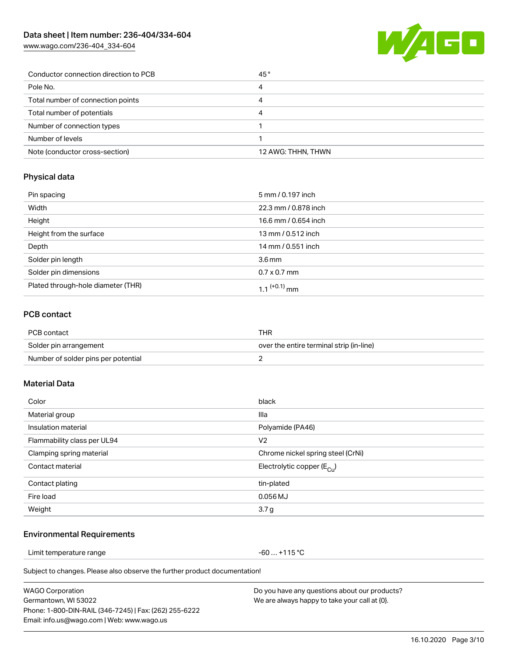[www.wago.com/236-404\\_334-604](http://www.wago.com/236-404_334-604)



| Conductor connection direction to PCB | 45°                |
|---------------------------------------|--------------------|
| Pole No.                              | 4                  |
| Total number of connection points     | 4                  |
| Total number of potentials            | 4                  |
| Number of connection types            |                    |
| Number of levels                      |                    |
| Note (conductor cross-section)        | 12 AWG: THHN, THWN |

#### Physical data

| Pin spacing                        | 5 mm / 0.197 inch    |
|------------------------------------|----------------------|
| Width                              | 22.3 mm / 0.878 inch |
| Height                             | 16.6 mm / 0.654 inch |
| Height from the surface            | 13 mm / 0.512 inch   |
| Depth                              | 14 mm / 0.551 inch   |
| Solder pin length                  | 3.6 <sub>mm</sub>    |
| Solder pin dimensions              | $0.7 \times 0.7$ mm  |
| Plated through-hole diameter (THR) | 1 1 $(+0.1)$ mm      |

### PCB contact

| PCB contact                         | THR                                      |  |
|-------------------------------------|------------------------------------------|--|
| Solder pin arrangement              | over the entire terminal strip (in-line) |  |
| Number of solder pins per potential |                                          |  |

### Material Data

| Color                       | black                                 |
|-----------------------------|---------------------------------------|
| Material group              | Illa                                  |
| Insulation material         | Polyamide (PA46)                      |
| Flammability class per UL94 | V <sub>2</sub>                        |
| Clamping spring material    | Chrome nickel spring steel (CrNi)     |
| Contact material            | Electrolytic copper $(E_{\text{Cl}})$ |
| Contact plating             | tin-plated                            |
| Fire load                   | $0.056$ MJ                            |
| Weight                      | 3.7 <sub>g</sub>                      |

### Environmental Requirements

Limit temperature range  $-60...+115$  °C

Subject to changes. Please also observe the further product documentation!

| <b>WAGO Corporation</b>                                |
|--------------------------------------------------------|
| Germantown, WI 53022                                   |
| Phone: 1-800-DIN-RAIL (346-7245)   Fax: (262) 255-6222 |
| Email: info.us@wago.com   Web: www.wago.us             |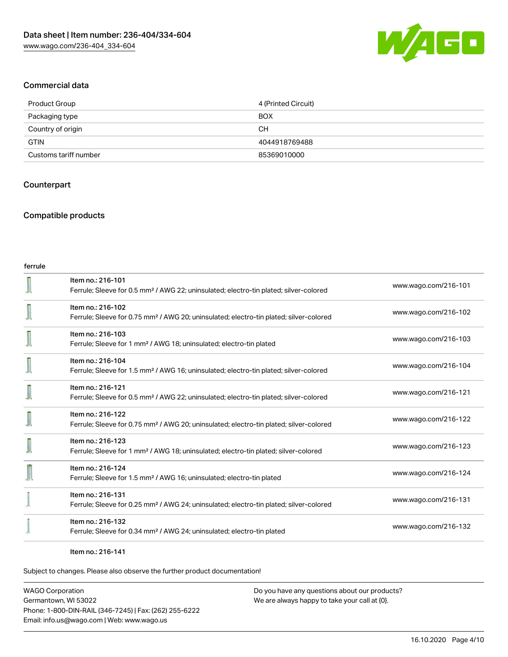

#### Commercial data

| Product Group         | 4 (Printed Circuit) |
|-----------------------|---------------------|
| Packaging type        | <b>BOX</b>          |
| Country of origin     | CН                  |
| <b>GTIN</b>           | 4044918769488       |
| Customs tariff number | 85369010000         |

### **Counterpart**

### Compatible products

| ferrule |                                                                                                                         |                      |
|---------|-------------------------------------------------------------------------------------------------------------------------|----------------------|
|         | Item no.: 216-101<br>Ferrule; Sleeve for 0.5 mm <sup>2</sup> / AWG 22; uninsulated; electro-tin plated; silver-colored  | www.wago.com/216-101 |
|         | Item no.: 216-102<br>Ferrule; Sleeve for 0.75 mm <sup>2</sup> / AWG 20; uninsulated; electro-tin plated; silver-colored | www.wago.com/216-102 |
|         | Item no.: 216-103<br>Ferrule; Sleeve for 1 mm <sup>2</sup> / AWG 18; uninsulated; electro-tin plated                    | www.wago.com/216-103 |
|         | Item no.: 216-104<br>Ferrule; Sleeve for 1.5 mm <sup>2</sup> / AWG 16; uninsulated; electro-tin plated; silver-colored  | www.wago.com/216-104 |
|         | Item no.: 216-121<br>Ferrule; Sleeve for 0.5 mm <sup>2</sup> / AWG 22; uninsulated; electro-tin plated; silver-colored  | www.wago.com/216-121 |
|         | Item no.: 216-122<br>Ferrule; Sleeve for 0.75 mm <sup>2</sup> / AWG 20; uninsulated; electro-tin plated; silver-colored | www.wago.com/216-122 |
|         | Item no.: 216-123<br>Ferrule; Sleeve for 1 mm <sup>2</sup> / AWG 18; uninsulated; electro-tin plated; silver-colored    | www.wago.com/216-123 |
|         | Item no.: 216-124<br>Ferrule; Sleeve for 1.5 mm <sup>2</sup> / AWG 16; uninsulated; electro-tin plated                  | www.wago.com/216-124 |
|         | Item no.: 216-131<br>Ferrule; Sleeve for 0.25 mm <sup>2</sup> / AWG 24; uninsulated; electro-tin plated; silver-colored | www.wago.com/216-131 |
|         | Item no.: 216-132<br>Ferrule; Sleeve for 0.34 mm <sup>2</sup> / AWG 24; uninsulated; electro-tin plated                 | www.wago.com/216-132 |
|         |                                                                                                                         |                      |

Item no.: 216-141

Subject to changes. Please also observe the further product documentation!

WAGO Corporation Germantown, WI 53022 Phone: 1-800-DIN-RAIL (346-7245) | Fax: (262) 255-6222 Email: info.us@wago.com | Web: www.wago.us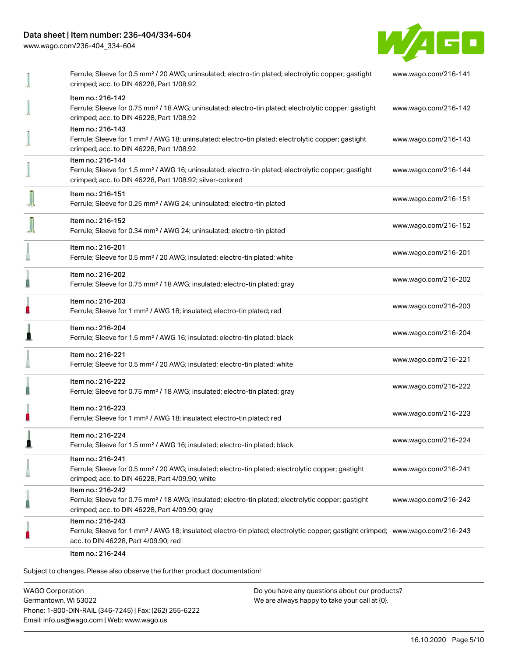[www.wago.com/236-404\\_334-604](http://www.wago.com/236-404_334-604)



|   | Ferrule; Sleeve for 0.5 mm <sup>2</sup> / 20 AWG; uninsulated; electro-tin plated; electrolytic copper; gastight<br>crimped; acc. to DIN 46228, Part 1/08.92                                            | www.wago.com/216-141 |
|---|---------------------------------------------------------------------------------------------------------------------------------------------------------------------------------------------------------|----------------------|
|   | Item no.: 216-142<br>Ferrule; Sleeve for 0.75 mm <sup>2</sup> / 18 AWG; uninsulated; electro-tin plated; electrolytic copper; gastight<br>crimped; acc. to DIN 46228, Part 1/08.92                      | www.wago.com/216-142 |
|   | Item no.: 216-143<br>Ferrule; Sleeve for 1 mm <sup>2</sup> / AWG 18; uninsulated; electro-tin plated; electrolytic copper; gastight<br>crimped; acc. to DIN 46228, Part 1/08.92                         | www.wago.com/216-143 |
|   | Item no.: 216-144<br>Ferrule; Sleeve for 1.5 mm <sup>2</sup> / AWG 16; uninsulated; electro-tin plated; electrolytic copper; gastight<br>crimped; acc. to DIN 46228, Part 1/08.92; silver-colored       | www.wago.com/216-144 |
|   | Item no.: 216-151<br>Ferrule; Sleeve for 0.25 mm <sup>2</sup> / AWG 24; uninsulated; electro-tin plated                                                                                                 | www.wago.com/216-151 |
|   | Item no.: 216-152<br>Ferrule; Sleeve for 0.34 mm <sup>2</sup> / AWG 24; uninsulated; electro-tin plated                                                                                                 | www.wago.com/216-152 |
|   | Item no.: 216-201<br>Ferrule; Sleeve for 0.5 mm <sup>2</sup> / 20 AWG; insulated; electro-tin plated; white                                                                                             | www.wago.com/216-201 |
|   | Item no.: 216-202<br>Ferrule; Sleeve for 0.75 mm <sup>2</sup> / 18 AWG; insulated; electro-tin plated; gray                                                                                             | www.wago.com/216-202 |
| H | Item no.: 216-203<br>Ferrule; Sleeve for 1 mm <sup>2</sup> / AWG 18; insulated; electro-tin plated; red                                                                                                 | www.wago.com/216-203 |
|   | Item no.: 216-204<br>Ferrule; Sleeve for 1.5 mm <sup>2</sup> / AWG 16; insulated; electro-tin plated; black                                                                                             | www.wago.com/216-204 |
|   | Item no.: 216-221<br>Ferrule; Sleeve for 0.5 mm <sup>2</sup> / 20 AWG; insulated; electro-tin plated; white                                                                                             | www.wago.com/216-221 |
|   | Item no.: 216-222<br>Ferrule; Sleeve for 0.75 mm <sup>2</sup> / 18 AWG; insulated; electro-tin plated; gray                                                                                             | www.wago.com/216-222 |
|   | Item no.: 216-223<br>Ferrule; Sleeve for 1 mm <sup>2</sup> / AWG 18; insulated; electro-tin plated; red                                                                                                 | www.wago.com/216-223 |
|   | Item no.: 216-224<br>Ferrule; Sleeve for 1.5 mm <sup>2</sup> / AWG 16; insulated; electro-tin plated; black                                                                                             | www.wago.com/216-224 |
|   | Item no.: 216-241<br>Ferrule; Sleeve for 0.5 mm <sup>2</sup> / 20 AWG; insulated; electro-tin plated; electrolytic copper; gastight<br>crimped; acc. to DIN 46228, Part 4/09.90; white                  | www.wago.com/216-241 |
|   | Item no.: 216-242<br>Ferrule; Sleeve for 0.75 mm <sup>2</sup> / 18 AWG; insulated; electro-tin plated; electrolytic copper; gastight<br>crimped; acc. to DIN 46228, Part 4/09.90; gray                  | www.wago.com/216-242 |
|   | Item no.: 216-243<br>Ferrule; Sleeve for 1 mm <sup>2</sup> / AWG 18; insulated; electro-tin plated; electrolytic copper; gastight crimped; www.wago.com/216-243<br>acc. to DIN 46228, Part 4/09.90; red |                      |
|   | Item no.: 216-244                                                                                                                                                                                       |                      |

Subject to changes. Please also observe the further product documentation!

WAGO Corporation Germantown, WI 53022 Phone: 1-800-DIN-RAIL (346-7245) | Fax: (262) 255-6222 Email: info.us@wago.com | Web: www.wago.us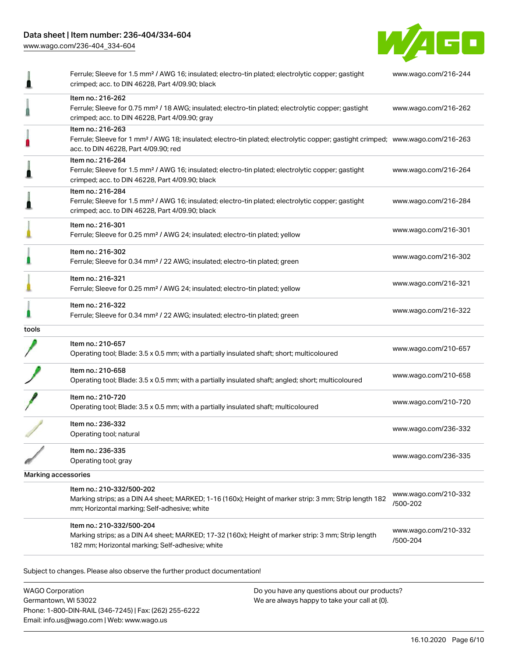[www.wago.com/236-404\\_334-604](http://www.wago.com/236-404_334-604)



|                     | Ferrule; Sleeve for 1.5 mm <sup>2</sup> / AWG 16; insulated; electro-tin plated; electrolytic copper; gastight<br>crimped; acc. to DIN 46228, Part 4/09.90; black                                       | www.wago.com/216-244             |
|---------------------|---------------------------------------------------------------------------------------------------------------------------------------------------------------------------------------------------------|----------------------------------|
|                     | Item no.: 216-262<br>Ferrule; Sleeve for 0.75 mm <sup>2</sup> / 18 AWG; insulated; electro-tin plated; electrolytic copper; gastight<br>crimped; acc. to DIN 46228, Part 4/09.90; gray                  | www.wago.com/216-262             |
|                     | Item no.: 216-263<br>Ferrule; Sleeve for 1 mm <sup>2</sup> / AWG 18; insulated; electro-tin plated; electrolytic copper; gastight crimped; www.wago.com/216-263<br>acc. to DIN 46228, Part 4/09.90; red |                                  |
|                     | Item no.: 216-264<br>Ferrule; Sleeve for 1.5 mm <sup>2</sup> / AWG 16; insulated; electro-tin plated; electrolytic copper; gastight<br>crimped; acc. to DIN 46228, Part 4/09.90; black                  | www.wago.com/216-264             |
|                     | Item no.: 216-284<br>Ferrule; Sleeve for 1.5 mm <sup>2</sup> / AWG 16; insulated; electro-tin plated; electrolytic copper; gastight<br>crimped; acc. to DIN 46228, Part 4/09.90; black                  | www.wago.com/216-284             |
|                     | Item no.: 216-301<br>Ferrule; Sleeve for 0.25 mm <sup>2</sup> / AWG 24; insulated; electro-tin plated; yellow                                                                                           | www.wago.com/216-301             |
|                     | Item no.: 216-302<br>Ferrule; Sleeve for 0.34 mm <sup>2</sup> / 22 AWG; insulated; electro-tin plated; green                                                                                            | www.wago.com/216-302             |
|                     | Item no.: 216-321<br>Ferrule; Sleeve for 0.25 mm <sup>2</sup> / AWG 24; insulated; electro-tin plated; yellow                                                                                           | www.wago.com/216-321             |
|                     | Item no.: 216-322<br>Ferrule; Sleeve for 0.34 mm <sup>2</sup> / 22 AWG; insulated; electro-tin plated; green                                                                                            | www.wago.com/216-322             |
| tools               |                                                                                                                                                                                                         |                                  |
|                     | Item no.: 210-657<br>Operating tool; Blade: 3.5 x 0.5 mm; with a partially insulated shaft; short; multicoloured                                                                                        | www.wago.com/210-657             |
|                     | Item no.: 210-658<br>Operating tool; Blade: 3.5 x 0.5 mm; with a partially insulated shaft; angled; short; multicoloured                                                                                | www.wago.com/210-658             |
|                     | Item no.: 210-720<br>Operating tool; Blade: 3.5 x 0.5 mm; with a partially insulated shaft; multicoloured                                                                                               | www.wago.com/210-720             |
|                     | Item no.: 236-332<br>Operating tool; natural                                                                                                                                                            | www.wago.com/236-332             |
|                     | Item no.: 236-335<br>Operating tool; gray                                                                                                                                                               | www.wago.com/236-335             |
| Marking accessories |                                                                                                                                                                                                         |                                  |
|                     | Item no.: 210-332/500-202<br>Marking strips; as a DIN A4 sheet; MARKED; 1-16 (160x); Height of marker strip: 3 mm; Strip length 182<br>mm; Horizontal marking; Self-adhesive; white                     | www.wago.com/210-332<br>/500-202 |
|                     | Item no.: 210-332/500-204<br>Marking strips; as a DIN A4 sheet; MARKED; 17-32 (160x); Height of marker strip: 3 mm; Strip length<br>182 mm; Horizontal marking; Self-adhesive; white                    | www.wago.com/210-332<br>/500-204 |
|                     | Subject to changes. Please also observe the further product documentation!                                                                                                                              |                                  |
|                     |                                                                                                                                                                                                         |                                  |

WAGO Corporation Germantown, WI 53022 Phone: 1-800-DIN-RAIL (346-7245) | Fax: (262) 255-6222 Email: info.us@wago.com | Web: www.wago.us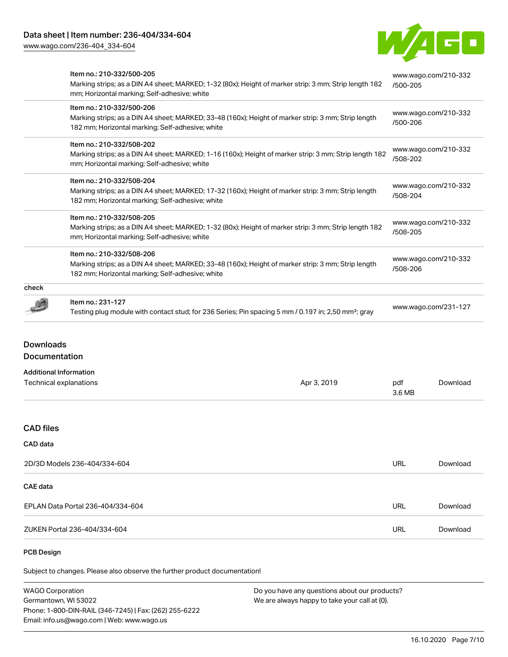[www.wago.com/236-404\\_334-604](http://www.wago.com/236-404_334-604)



| <b>PCB Design</b>                                                                                                                                                                    |                                                                                                                 |                                                                                                          |                      |  |
|--------------------------------------------------------------------------------------------------------------------------------------------------------------------------------------|-----------------------------------------------------------------------------------------------------------------|----------------------------------------------------------------------------------------------------------|----------------------|--|
| ZUKEN Portal 236-404/334-604                                                                                                                                                         | <b>URL</b>                                                                                                      | Download                                                                                                 |                      |  |
| EPLAN Data Portal 236-404/334-604                                                                                                                                                    | URL                                                                                                             | Download                                                                                                 |                      |  |
| <b>CAE</b> data                                                                                                                                                                      |                                                                                                                 |                                                                                                          |                      |  |
| 2D/3D Models 236-404/334-604                                                                                                                                                         |                                                                                                                 |                                                                                                          | Download             |  |
| CAD data                                                                                                                                                                             |                                                                                                                 |                                                                                                          |                      |  |
| <b>CAD files</b>                                                                                                                                                                     |                                                                                                                 |                                                                                                          |                      |  |
| Technical explanations                                                                                                                                                               | Apr 3, 2019                                                                                                     | pdf<br>3.6 MB                                                                                            | Download             |  |
| <b>Additional Information</b>                                                                                                                                                        |                                                                                                                 |                                                                                                          |                      |  |
| <b>Downloads</b><br>Documentation                                                                                                                                                    |                                                                                                                 |                                                                                                          |                      |  |
|                                                                                                                                                                                      | Testing plug module with contact stud; for 236 Series; Pin spacing 5 mm / 0.197 in; 2,50 mm <sup>2</sup> ; gray |                                                                                                          |                      |  |
| check<br>Item no.: 231-127                                                                                                                                                           |                                                                                                                 |                                                                                                          | www.wago.com/231-127 |  |
| Item no.: 210-332/508-206<br>Marking strips; as a DIN A4 sheet; MARKED; 33-48 (160x); Height of marker strip: 3 mm; Strip length<br>182 mm; Horizontal marking; Self-adhesive; white |                                                                                                                 | www.wago.com/210-332<br>/508-206                                                                         |                      |  |
| Item no.: 210-332/508-205<br>mm; Horizontal marking; Self-adhesive; white                                                                                                            | Marking strips; as a DIN A4 sheet; MARKED; 1-32 (80x); Height of marker strip: 3 mm; Strip length 182           |                                                                                                          |                      |  |
| Item no.: 210-332/508-204<br>Marking strips; as a DIN A4 sheet; MARKED; 17-32 (160x); Height of marker strip: 3 mm; Strip length<br>182 mm; Horizontal marking; Self-adhesive; white |                                                                                                                 | www.wago.com/210-332<br>/500-206<br>www.wago.com/210-332<br>/508-202<br>www.wago.com/210-332<br>/508-204 |                      |  |
| Item no.: 210-332/508-202<br>Marking strips; as a DIN A4 sheet; MARKED; 1-16 (160x); Height of marker strip: 3 mm; Strip length 182<br>mm; Horizontal marking; Self-adhesive; white  |                                                                                                                 |                                                                                                          |                      |  |
| Item no.: 210-332/500-206<br>Marking strips; as a DIN A4 sheet; MARKED; 33-48 (160x); Height of marker strip: 3 mm; Strip length<br>182 mm; Horizontal marking; Self-adhesive; white |                                                                                                                 |                                                                                                          |                      |  |
| Item no.: 210-332/500-205<br>Marking strips; as a DIN A4 sheet; MARKED; 1-32 (80x); Height of marker strip: 3 mm; Strip length 182<br>mm; Horizontal marking; Self-adhesive; white   |                                                                                                                 | www.wago.com/210-332<br>/500-205                                                                         |                      |  |
|                                                                                                                                                                                      |                                                                                                                 |                                                                                                          |                      |  |

Subject to changes. Please also observe the further product documentation!

WAGO Corporation Germantown, WI 53022 Phone: 1-800-DIN-RAIL (346-7245) | Fax: (262) 255-6222 Email: info.us@wago.com | Web: www.wago.us Do you have any questions about our products? We are always happy to take your call at {0}.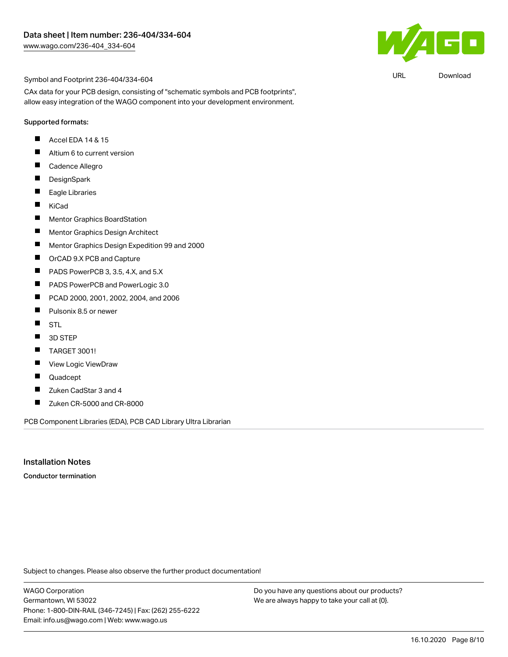

URL [Download](https://www.wago.com/us/d/UltraLibrarian_URLS_236-404_334-604)

#### Symbol and Footprint 236-404/334-604

CAx data for your PCB design, consisting of "schematic symbols and PCB footprints", allow easy integration of the WAGO component into your development environment.

#### Supported formats:

- $\blacksquare$  Accel EDA 14 & 15
- $\blacksquare$ Altium 6 to current version
- $\blacksquare$ Cadence Allegro
- $\blacksquare$ **DesignSpark**
- $\blacksquare$ Eagle Libraries
- $\blacksquare$ KiCad
- $\blacksquare$ Mentor Graphics BoardStation
- $\blacksquare$ Mentor Graphics Design Architect
- $\blacksquare$ Mentor Graphics Design Expedition 99 and 2000
- $\blacksquare$ OrCAD 9.X PCB and Capture
- П PADS PowerPCB 3, 3.5, 4.X, and 5.X
- $\blacksquare$ PADS PowerPCB and PowerLogic 3.0
- $\blacksquare$ PCAD 2000, 2001, 2002, 2004, and 2006
- $\blacksquare$ Pulsonix 8.5 or newer
- $\blacksquare$ STL
- $\blacksquare$ 3D STEP
- $\blacksquare$ TARGET 3001!
- П View Logic ViewDraw
- $\blacksquare$ Quadcept
- $\blacksquare$ Zuken CadStar 3 and 4
- П Zuken CR-5000 and CR-8000

PCB Component Libraries (EDA), PCB CAD Library Ultra Librarian

#### Installation Notes

Conductor termination

Subject to changes. Please also observe the further product documentation!

WAGO Corporation Germantown, WI 53022 Phone: 1-800-DIN-RAIL (346-7245) | Fax: (262) 255-6222 Email: info.us@wago.com | Web: www.wago.us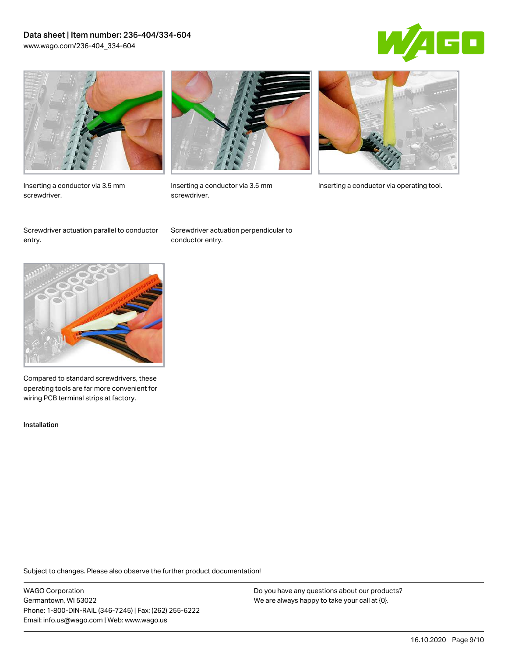## Data sheet | Item number: 236-404/334-604 [www.wago.com/236-404\\_334-604](http://www.wago.com/236-404_334-604)





Inserting a conductor via 3.5 mm screwdriver.



screwdriver.

Inserting a conductor via 3.5 mm Inserting a conductor via operating tool.

Screwdriver actuation parallel to conductor entry.

Screwdriver actuation perpendicular to conductor entry.



Compared to standard screwdrivers, these operating tools are far more convenient for wiring PCB terminal strips at factory.

Installation

Subject to changes. Please also observe the further product documentation!

WAGO Corporation Germantown, WI 53022 Phone: 1-800-DIN-RAIL (346-7245) | Fax: (262) 255-6222 Email: info.us@wago.com | Web: www.wago.us